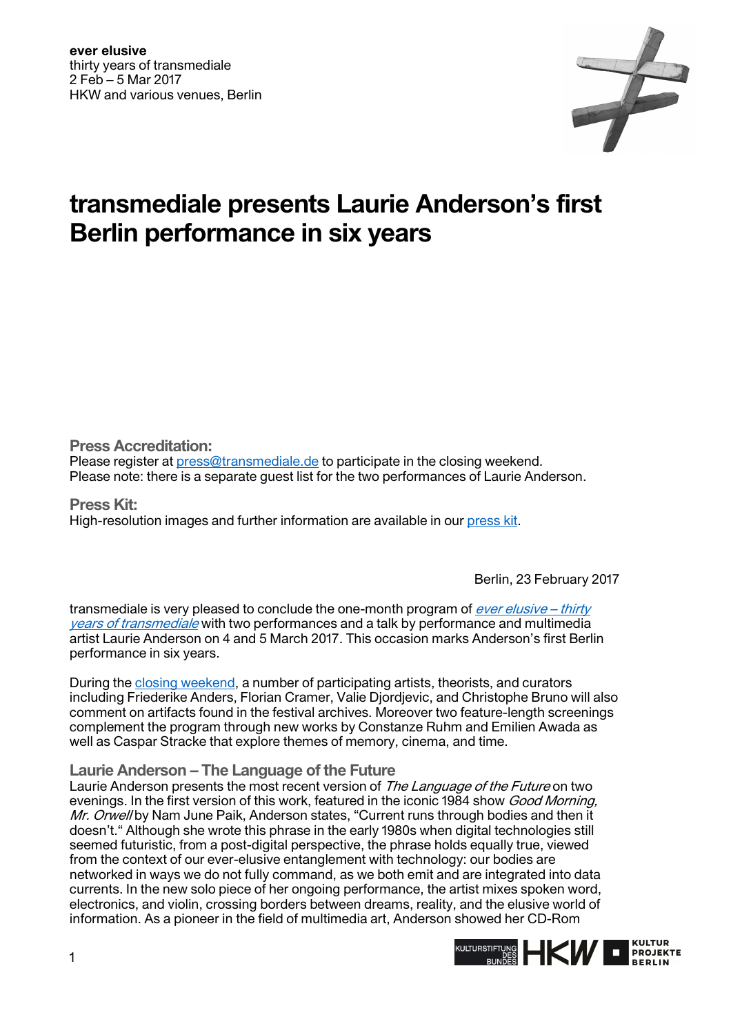

## **transmediale presents Laurie Anderson's first Berlin performance in six years**

**Press Accreditation:** 

Please register at [press@transmediale.de](mailto:press@transmediale.de) to participate in the closing weekend. Please note: there is a separate guest list for the two performances of Laurie Anderson.

**Press Kit:**  High-resolution images and further information are available in our [press kit.](https://2017.transmediale.de/festival/2017/press)

Berlin, 23 February 2017

transmediale is very pleased to conclude the one-month program of  $\frac{ever \, elusive - thirty}{$ [years of transmediale](https://2017.transmediale.de/festival) with two performances and a talk by performance and multimedia artist Laurie Anderson on 4 and 5 March 2017. This occasion marks Anderson's first Berlin performance in six years.

During the [closing weekend,](https://2017.transmediale.de/festival/2017/program/closing-weekend) a number of participating artists, theorists, and curators including Friederike Anders, Florian Cramer, Valie Djordjevic, and Christophe Bruno will also comment on artifacts found in the festival archives. Moreover two feature-length screenings complement the program through new works by Constanze Ruhm and Emilien Awada as well as Caspar Stracke that explore themes of memory, cinema, and time.

**Laurie Anderson – The Language of the Future** 

Laurie Anderson presents the most recent version of The Language of the Future on two evenings. In the first version of this work, featured in the iconic 1984 show *Good Morning*, Mr. Orwell by Nam June Paik, Anderson states, "Current runs through bodies and then it doesn't." Although she wrote this phrase in the early 1980s when digital technologies still seemed futuristic, from a post-digital perspective, the phrase holds equally true, viewed from the context of our ever-elusive entanglement with technology: our bodies are networked in ways we do not fully command, as we both emit and are integrated into data currents. In the new solo piece of her ongoing performance, the artist mixes spoken word, electronics, and violin, crossing borders between dreams, reality, and the elusive world of information. As a pioneer in the field of multimedia art, Anderson showed her CD-Rom